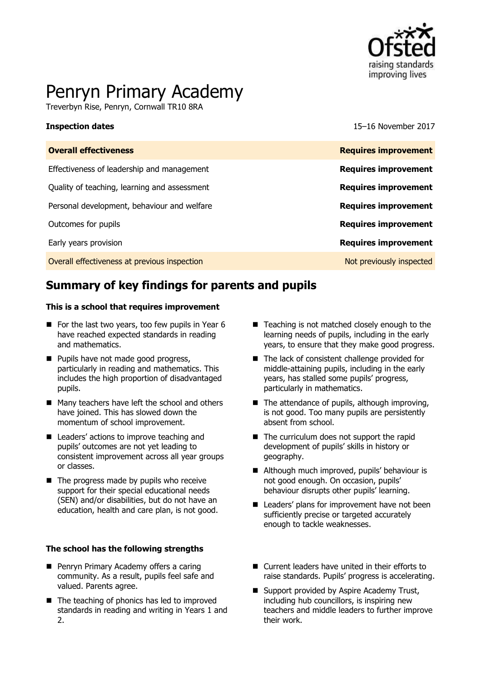

# Penryn Primary Academy

Treverbyn Rise, Penryn, Cornwall TR10 8RA

**Inspection dates** 15–16 November 2017

| <b>Overall effectiveness</b>                 | <b>Requires improvement</b> |
|----------------------------------------------|-----------------------------|
| Effectiveness of leadership and management   | <b>Requires improvement</b> |
| Quality of teaching, learning and assessment | <b>Requires improvement</b> |
| Personal development, behaviour and welfare  | <b>Requires improvement</b> |
| Outcomes for pupils                          | <b>Requires improvement</b> |
| Early years provision                        | <b>Requires improvement</b> |
| Overall effectiveness at previous inspection | Not previously inspected    |
|                                              |                             |

# **Summary of key findings for parents and pupils**

#### **This is a school that requires improvement**

- For the last two vears, too few pupils in Year  $6$ have reached expected standards in reading and mathematics.
- Pupils have not made good progress, particularly in reading and mathematics. This includes the high proportion of disadvantaged pupils.
- Many teachers have left the school and others have joined. This has slowed down the momentum of school improvement.
- Leaders' actions to improve teaching and pupils' outcomes are not yet leading to consistent improvement across all year groups or classes.
- $\blacksquare$  The progress made by pupils who receive support for their special educational needs (SEN) and/or disabilities, but do not have an education, health and care plan, is not good.

#### **The school has the following strengths**

- **Penryn Primary Academy offers a caring** community. As a result, pupils feel safe and valued. Parents agree.
- $\blacksquare$  The teaching of phonics has led to improved standards in reading and writing in Years 1 and 2.
- Teaching is not matched closely enough to the learning needs of pupils, including in the early years, to ensure that they make good progress.
- The lack of consistent challenge provided for middle-attaining pupils, including in the early years, has stalled some pupils' progress, particularly in mathematics.
- $\blacksquare$  The attendance of pupils, although improving, is not good. Too many pupils are persistently absent from school.
- $\blacksquare$  The curriculum does not support the rapid development of pupils' skills in history or geography.
- Although much improved, pupils' behaviour is not good enough. On occasion, pupils' behaviour disrupts other pupils' learning.
- Leaders' plans for improvement have not been sufficiently precise or targeted accurately enough to tackle weaknesses.
- Current leaders have united in their efforts to raise standards. Pupils' progress is accelerating.
- Support provided by Aspire Academy Trust, including hub councillors, is inspiring new teachers and middle leaders to further improve their work.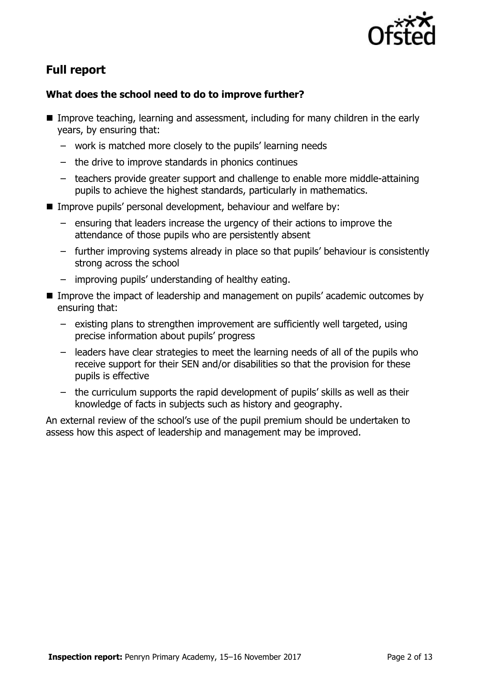

# **Full report**

### **What does the school need to do to improve further?**

- Improve teaching, learning and assessment, including for many children in the early years, by ensuring that:
	- work is matched more closely to the pupils' learning needs
	- the drive to improve standards in phonics continues
	- teachers provide greater support and challenge to enable more middle-attaining pupils to achieve the highest standards, particularly in mathematics.
- Improve pupils' personal development, behaviour and welfare by:
	- ensuring that leaders increase the urgency of their actions to improve the attendance of those pupils who are persistently absent
	- further improving systems already in place so that pupils' behaviour is consistently strong across the school
	- improving pupils' understanding of healthy eating.
- Improve the impact of leadership and management on pupils' academic outcomes by ensuring that:
	- existing plans to strengthen improvement are sufficiently well targeted, using precise information about pupils' progress
	- leaders have clear strategies to meet the learning needs of all of the pupils who receive support for their SEN and/or disabilities so that the provision for these pupils is effective
	- the curriculum supports the rapid development of pupils' skills as well as their knowledge of facts in subjects such as history and geography.

An external review of the school's use of the pupil premium should be undertaken to assess how this aspect of leadership and management may be improved.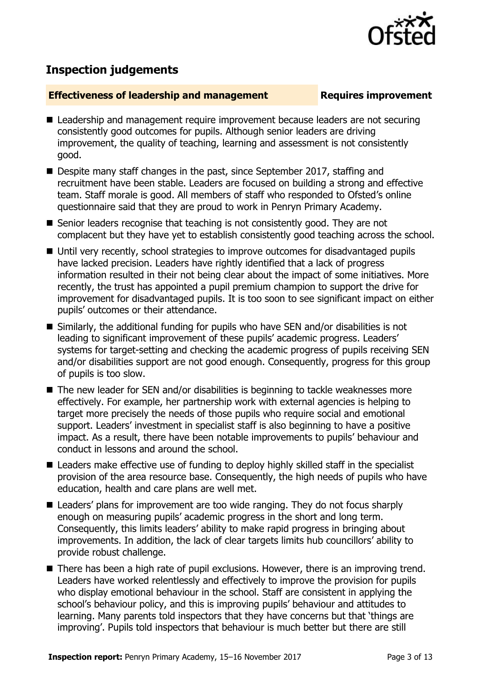

# **Inspection judgements**

#### **Effectiveness of leadership and management Requires improvement**

- Leadership and management require improvement because leaders are not securing consistently good outcomes for pupils. Although senior leaders are driving improvement, the quality of teaching, learning and assessment is not consistently good.
- Despite many staff changes in the past, since September 2017, staffing and recruitment have been stable. Leaders are focused on building a strong and effective team. Staff morale is good. All members of staff who responded to Ofsted's online questionnaire said that they are proud to work in Penryn Primary Academy.
- Senior leaders recognise that teaching is not consistently good. They are not complacent but they have yet to establish consistently good teaching across the school.
- Until very recently, school strategies to improve outcomes for disadvantaged pupils have lacked precision. Leaders have rightly identified that a lack of progress information resulted in their not being clear about the impact of some initiatives. More recently, the trust has appointed a pupil premium champion to support the drive for improvement for disadvantaged pupils. It is too soon to see significant impact on either pupils' outcomes or their attendance.
- Similarly, the additional funding for pupils who have SEN and/or disabilities is not leading to significant improvement of these pupils' academic progress. Leaders' systems for target-setting and checking the academic progress of pupils receiving SEN and/or disabilities support are not good enough. Consequently, progress for this group of pupils is too slow.
- The new leader for SEN and/or disabilities is beginning to tackle weaknesses more effectively. For example, her partnership work with external agencies is helping to target more precisely the needs of those pupils who require social and emotional support. Leaders' investment in specialist staff is also beginning to have a positive impact. As a result, there have been notable improvements to pupils' behaviour and conduct in lessons and around the school.
- Leaders make effective use of funding to deploy highly skilled staff in the specialist provision of the area resource base. Consequently, the high needs of pupils who have education, health and care plans are well met.
- Leaders' plans for improvement are too wide ranging. They do not focus sharply enough on measuring pupils' academic progress in the short and long term. Consequently, this limits leaders' ability to make rapid progress in bringing about improvements. In addition, the lack of clear targets limits hub councillors' ability to provide robust challenge.
- There has been a high rate of pupil exclusions. However, there is an improving trend. Leaders have worked relentlessly and effectively to improve the provision for pupils who display emotional behaviour in the school. Staff are consistent in applying the school's behaviour policy, and this is improving pupils' behaviour and attitudes to learning. Many parents told inspectors that they have concerns but that 'things are improving'. Pupils told inspectors that behaviour is much better but there are still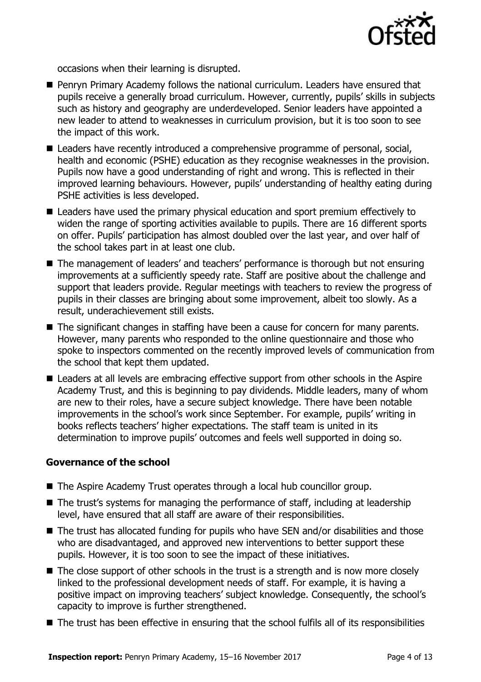

occasions when their learning is disrupted.

- Penryn Primary Academy follows the national curriculum. Leaders have ensured that pupils receive a generally broad curriculum. However, currently, pupils' skills in subjects such as history and geography are underdeveloped. Senior leaders have appointed a new leader to attend to weaknesses in curriculum provision, but it is too soon to see the impact of this work.
- Leaders have recently introduced a comprehensive programme of personal, social, health and economic (PSHE) education as they recognise weaknesses in the provision. Pupils now have a good understanding of right and wrong. This is reflected in their improved learning behaviours. However, pupils' understanding of healthy eating during PSHE activities is less developed.
- Leaders have used the primary physical education and sport premium effectively to widen the range of sporting activities available to pupils. There are 16 different sports on offer. Pupils' participation has almost doubled over the last year, and over half of the school takes part in at least one club.
- The management of leaders' and teachers' performance is thorough but not ensuring improvements at a sufficiently speedy rate. Staff are positive about the challenge and support that leaders provide. Regular meetings with teachers to review the progress of pupils in their classes are bringing about some improvement, albeit too slowly. As a result, underachievement still exists.
- The significant changes in staffing have been a cause for concern for many parents. However, many parents who responded to the online questionnaire and those who spoke to inspectors commented on the recently improved levels of communication from the school that kept them updated.
- Leaders at all levels are embracing effective support from other schools in the Aspire Academy Trust, and this is beginning to pay dividends. Middle leaders, many of whom are new to their roles, have a secure subject knowledge. There have been notable improvements in the school's work since September. For example, pupils' writing in books reflects teachers' higher expectations. The staff team is united in its determination to improve pupils' outcomes and feels well supported in doing so.

#### **Governance of the school**

- The Aspire Academy Trust operates through a local hub councillor group.
- The trust's systems for managing the performance of staff, including at leadership level, have ensured that all staff are aware of their responsibilities.
- The trust has allocated funding for pupils who have SEN and/or disabilities and those who are disadvantaged, and approved new interventions to better support these pupils. However, it is too soon to see the impact of these initiatives.
- The close support of other schools in the trust is a strength and is now more closely linked to the professional development needs of staff. For example, it is having a positive impact on improving teachers' subject knowledge. Consequently, the school's capacity to improve is further strengthened.
- The trust has been effective in ensuring that the school fulfils all of its responsibilities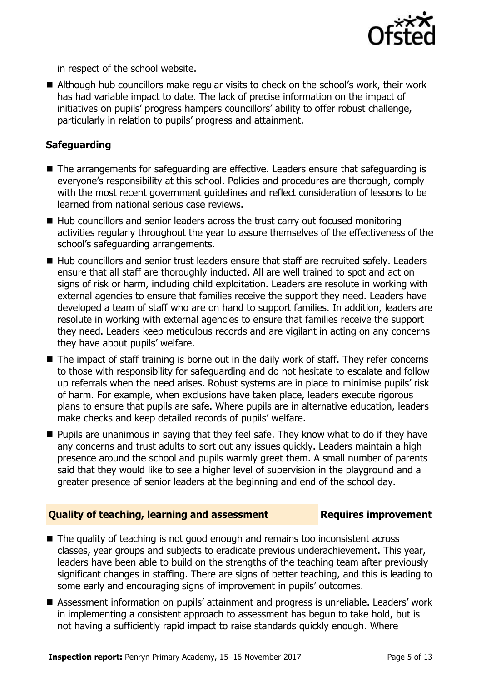

in respect of the school website.

■ Although hub councillors make regular visits to check on the school's work, their work has had variable impact to date. The lack of precise information on the impact of initiatives on pupils' progress hampers councillors' ability to offer robust challenge, particularly in relation to pupils' progress and attainment.

#### **Safeguarding**

- The arrangements for safeguarding are effective. Leaders ensure that safeguarding is everyone's responsibility at this school. Policies and procedures are thorough, comply with the most recent government guidelines and reflect consideration of lessons to be learned from national serious case reviews.
- Hub councillors and senior leaders across the trust carry out focused monitoring activities regularly throughout the year to assure themselves of the effectiveness of the school's safeguarding arrangements.
- Hub councillors and senior trust leaders ensure that staff are recruited safely. Leaders ensure that all staff are thoroughly inducted. All are well trained to spot and act on signs of risk or harm, including child exploitation. Leaders are resolute in working with external agencies to ensure that families receive the support they need. Leaders have developed a team of staff who are on hand to support families. In addition, leaders are resolute in working with external agencies to ensure that families receive the support they need. Leaders keep meticulous records and are vigilant in acting on any concerns they have about pupils' welfare.
- The impact of staff training is borne out in the daily work of staff. They refer concerns to those with responsibility for safeguarding and do not hesitate to escalate and follow up referrals when the need arises. Robust systems are in place to minimise pupils' risk of harm. For example, when exclusions have taken place, leaders execute rigorous plans to ensure that pupils are safe. Where pupils are in alternative education, leaders make checks and keep detailed records of pupils' welfare.
- **Pupils are unanimous in saying that they feel safe. They know what to do if they have** any concerns and trust adults to sort out any issues quickly. Leaders maintain a high presence around the school and pupils warmly greet them. A small number of parents said that they would like to see a higher level of supervision in the playground and a greater presence of senior leaders at the beginning and end of the school day.

#### **Quality of teaching, learning and assessment France Requires improvement**

- The quality of teaching is not good enough and remains too inconsistent across classes, year groups and subjects to eradicate previous underachievement. This year, leaders have been able to build on the strengths of the teaching team after previously significant changes in staffing. There are signs of better teaching, and this is leading to some early and encouraging signs of improvement in pupils' outcomes.
- Assessment information on pupils' attainment and progress is unreliable. Leaders' work in implementing a consistent approach to assessment has begun to take hold, but is not having a sufficiently rapid impact to raise standards quickly enough. Where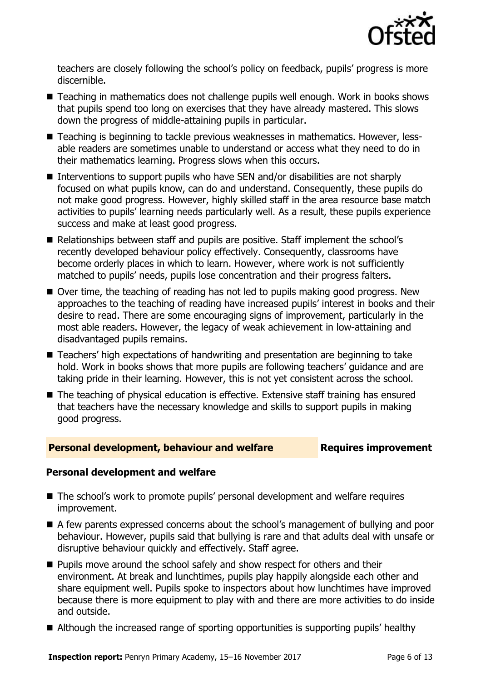

teachers are closely following the school's policy on feedback, pupils' progress is more discernible.

- Teaching in mathematics does not challenge pupils well enough. Work in books shows that pupils spend too long on exercises that they have already mastered. This slows down the progress of middle-attaining pupils in particular.
- Teaching is beginning to tackle previous weaknesses in mathematics. However, lessable readers are sometimes unable to understand or access what they need to do in their mathematics learning. Progress slows when this occurs.
- Interventions to support pupils who have SEN and/or disabilities are not sharply focused on what pupils know, can do and understand. Consequently, these pupils do not make good progress. However, highly skilled staff in the area resource base match activities to pupils' learning needs particularly well. As a result, these pupils experience success and make at least good progress.
- Relationships between staff and pupils are positive. Staff implement the school's recently developed behaviour policy effectively. Consequently, classrooms have become orderly places in which to learn. However, where work is not sufficiently matched to pupils' needs, pupils lose concentration and their progress falters.
- Over time, the teaching of reading has not led to pupils making good progress. New approaches to the teaching of reading have increased pupils' interest in books and their desire to read. There are some encouraging signs of improvement, particularly in the most able readers. However, the legacy of weak achievement in low-attaining and disadvantaged pupils remains.
- Teachers' high expectations of handwriting and presentation are beginning to take hold. Work in books shows that more pupils are following teachers' guidance and are taking pride in their learning. However, this is not yet consistent across the school.
- The teaching of physical education is effective. Extensive staff training has ensured that teachers have the necessary knowledge and skills to support pupils in making good progress.

### **Personal development, behaviour and welfare Fig. 2.1 Requires improvement**

### **Personal development and welfare**

- The school's work to promote pupils' personal development and welfare requires improvement.
- A few parents expressed concerns about the school's management of bullying and poor behaviour. However, pupils said that bullying is rare and that adults deal with unsafe or disruptive behaviour quickly and effectively. Staff agree.
- **Pupils move around the school safely and show respect for others and their** environment. At break and lunchtimes, pupils play happily alongside each other and share equipment well. Pupils spoke to inspectors about how lunchtimes have improved because there is more equipment to play with and there are more activities to do inside and outside.
- Although the increased range of sporting opportunities is supporting pupils' healthy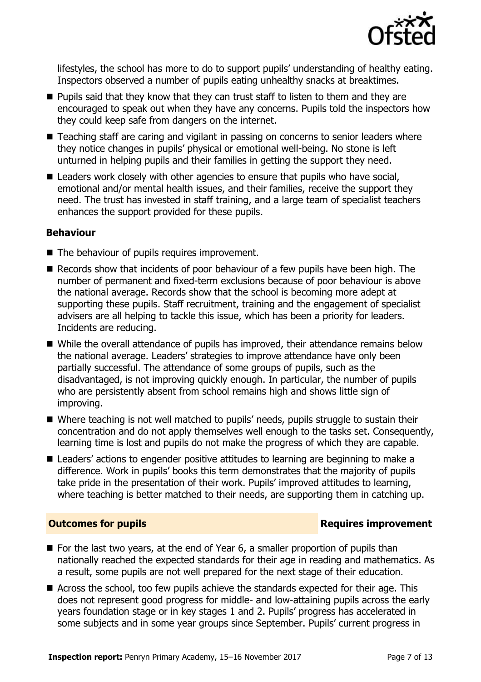

lifestyles, the school has more to do to support pupils' understanding of healthy eating. Inspectors observed a number of pupils eating unhealthy snacks at breaktimes.

- $\blacksquare$  Pupils said that they know that they can trust staff to listen to them and they are encouraged to speak out when they have any concerns. Pupils told the inspectors how they could keep safe from dangers on the internet.
- Teaching staff are caring and vigilant in passing on concerns to senior leaders where they notice changes in pupils' physical or emotional well-being. No stone is left unturned in helping pupils and their families in getting the support they need.
- Leaders work closely with other agencies to ensure that pupils who have social, emotional and/or mental health issues, and their families, receive the support they need. The trust has invested in staff training, and a large team of specialist teachers enhances the support provided for these pupils.

### **Behaviour**

- The behaviour of pupils requires improvement.
- Records show that incidents of poor behaviour of a few pupils have been high. The number of permanent and fixed-term exclusions because of poor behaviour is above the national average. Records show that the school is becoming more adept at supporting these pupils. Staff recruitment, training and the engagement of specialist advisers are all helping to tackle this issue, which has been a priority for leaders. Incidents are reducing.
- While the overall attendance of pupils has improved, their attendance remains below the national average. Leaders' strategies to improve attendance have only been partially successful. The attendance of some groups of pupils, such as the disadvantaged, is not improving quickly enough. In particular, the number of pupils who are persistently absent from school remains high and shows little sign of improving.
- Where teaching is not well matched to pupils' needs, pupils struggle to sustain their concentration and do not apply themselves well enough to the tasks set. Consequently, learning time is lost and pupils do not make the progress of which they are capable.
- Leaders' actions to engender positive attitudes to learning are beginning to make a difference. Work in pupils' books this term demonstrates that the majority of pupils take pride in the presentation of their work. Pupils' improved attitudes to learning, where teaching is better matched to their needs, are supporting them in catching up.

### **Outcomes for pupils Requires improvement**

- $\blacksquare$  For the last two years, at the end of Year 6, a smaller proportion of pupils than nationally reached the expected standards for their age in reading and mathematics. As a result, some pupils are not well prepared for the next stage of their education.
- Across the school, too few pupils achieve the standards expected for their age. This does not represent good progress for middle- and low-attaining pupils across the early years foundation stage or in key stages 1 and 2. Pupils' progress has accelerated in some subjects and in some year groups since September. Pupils' current progress in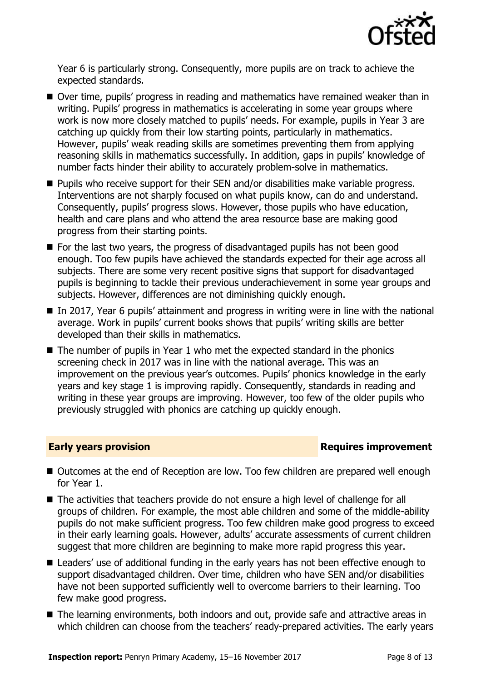

Year 6 is particularly strong. Consequently, more pupils are on track to achieve the expected standards.

- Over time, pupils' progress in reading and mathematics have remained weaker than in writing. Pupils' progress in mathematics is accelerating in some year groups where work is now more closely matched to pupils' needs. For example, pupils in Year 3 are catching up quickly from their low starting points, particularly in mathematics. However, pupils' weak reading skills are sometimes preventing them from applying reasoning skills in mathematics successfully. In addition, gaps in pupils' knowledge of number facts hinder their ability to accurately problem-solve in mathematics.
- Pupils who receive support for their SEN and/or disabilities make variable progress. Interventions are not sharply focused on what pupils know, can do and understand. Consequently, pupils' progress slows. However, those pupils who have education, health and care plans and who attend the area resource base are making good progress from their starting points.
- For the last two years, the progress of disadvantaged pupils has not been good enough. Too few pupils have achieved the standards expected for their age across all subjects. There are some very recent positive signs that support for disadvantaged pupils is beginning to tackle their previous underachievement in some year groups and subjects. However, differences are not diminishing quickly enough.
- In 2017, Year 6 pupils' attainment and progress in writing were in line with the national average. Work in pupils' current books shows that pupils' writing skills are better developed than their skills in mathematics.
- $\blacksquare$  The number of pupils in Year 1 who met the expected standard in the phonics screening check in 2017 was in line with the national average. This was an improvement on the previous year's outcomes. Pupils' phonics knowledge in the early years and key stage 1 is improving rapidly. Consequently, standards in reading and writing in these year groups are improving. However, too few of the older pupils who previously struggled with phonics are catching up quickly enough.

### **Early years provision Requires improvement**

- Outcomes at the end of Reception are low. Too few children are prepared well enough for Year 1.
- The activities that teachers provide do not ensure a high level of challenge for all groups of children. For example, the most able children and some of the middle-ability pupils do not make sufficient progress. Too few children make good progress to exceed in their early learning goals. However, adults' accurate assessments of current children suggest that more children are beginning to make more rapid progress this year.
- Leaders' use of additional funding in the early years has not been effective enough to support disadvantaged children. Over time, children who have SEN and/or disabilities have not been supported sufficiently well to overcome barriers to their learning. Too few make good progress.
- The learning environments, both indoors and out, provide safe and attractive areas in which children can choose from the teachers' ready-prepared activities. The early years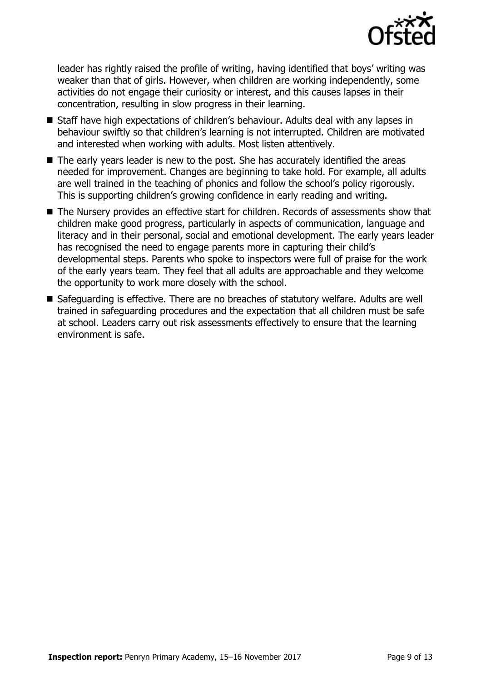

leader has rightly raised the profile of writing, having identified that boys' writing was weaker than that of girls. However, when children are working independently, some activities do not engage their curiosity or interest, and this causes lapses in their concentration, resulting in slow progress in their learning.

- Staff have high expectations of children's behaviour. Adults deal with any lapses in behaviour swiftly so that children's learning is not interrupted. Children are motivated and interested when working with adults. Most listen attentively.
- $\blacksquare$  The early years leader is new to the post. She has accurately identified the areas needed for improvement. Changes are beginning to take hold. For example, all adults are well trained in the teaching of phonics and follow the school's policy rigorously. This is supporting children's growing confidence in early reading and writing.
- The Nursery provides an effective start for children. Records of assessments show that children make good progress, particularly in aspects of communication, language and literacy and in their personal, social and emotional development. The early years leader has recognised the need to engage parents more in capturing their child's developmental steps. Parents who spoke to inspectors were full of praise for the work of the early years team. They feel that all adults are approachable and they welcome the opportunity to work more closely with the school.
- Safeguarding is effective. There are no breaches of statutory welfare. Adults are well trained in safeguarding procedures and the expectation that all children must be safe at school. Leaders carry out risk assessments effectively to ensure that the learning environment is safe.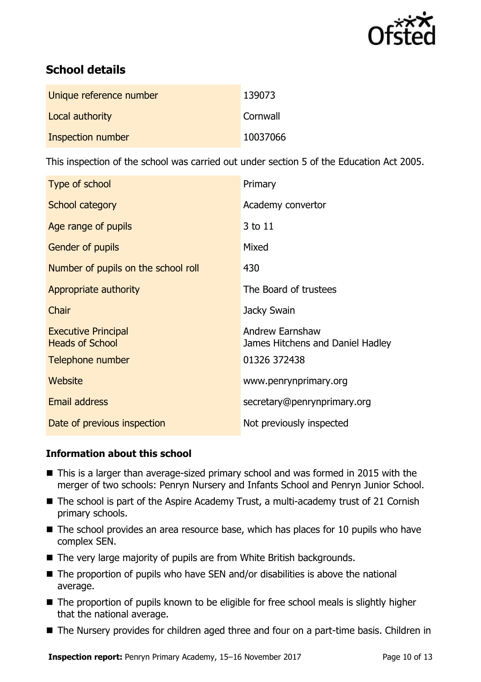

# **School details**

| Unique reference number | 139073   |
|-------------------------|----------|
| Local authority         | Cornwall |
| Inspection number       | 10037066 |

This inspection of the school was carried out under section 5 of the Education Act 2005.

| Type of school                                       | Primary                                             |
|------------------------------------------------------|-----------------------------------------------------|
| School category                                      | Academy convertor                                   |
| Age range of pupils                                  | 3 to 11                                             |
| Gender of pupils                                     | Mixed                                               |
| Number of pupils on the school roll                  | 430                                                 |
| Appropriate authority                                | The Board of trustees                               |
| Chair                                                | Jacky Swain                                         |
| <b>Executive Principal</b><br><b>Heads of School</b> | Andrew Earnshaw<br>James Hitchens and Daniel Hadley |
| Telephone number                                     | 01326 372438                                        |
| Website                                              | www.penrynprimary.org                               |
| <b>Email address</b>                                 | secretary@penrynprimary.org                         |
| Date of previous inspection                          | Not previously inspected                            |

### **Information about this school**

- This is a larger than average-sized primary school and was formed in 2015 with the merger of two schools: Penryn Nursery and Infants School and Penryn Junior School.
- The school is part of the Aspire Academy Trust, a multi-academy trust of 21 Cornish primary schools.
- $\blacksquare$  The school provides an area resource base, which has places for 10 pupils who have complex SEN.
- The very large majority of pupils are from White British backgrounds.
- $\blacksquare$  The proportion of pupils who have SEN and/or disabilities is above the national average.
- The proportion of pupils known to be eligible for free school meals is slightly higher that the national average.
- The Nursery provides for children aged three and four on a part-time basis. Children in

**Inspection report:** Penryn Primary Academy, 15-16 November 2017 Page 10 of 13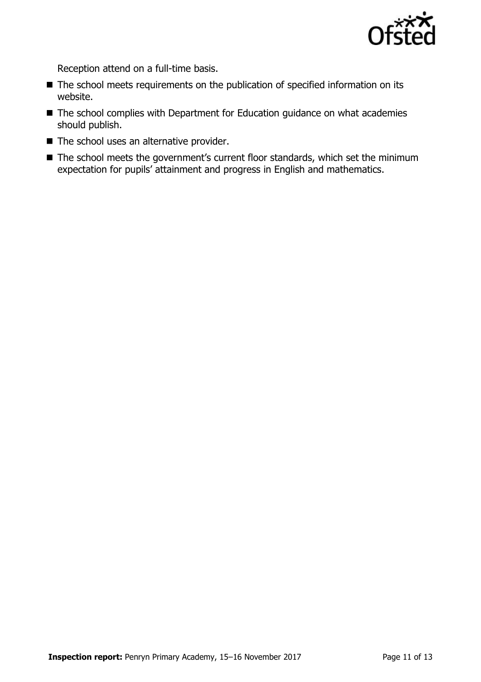

Reception attend on a full-time basis.

- The school meets requirements on the publication of specified information on its website.
- The school complies with Department for Education guidance on what academies should publish.
- The school uses an alternative provider.
- The school meets the government's current floor standards, which set the minimum expectation for pupils' attainment and progress in English and mathematics.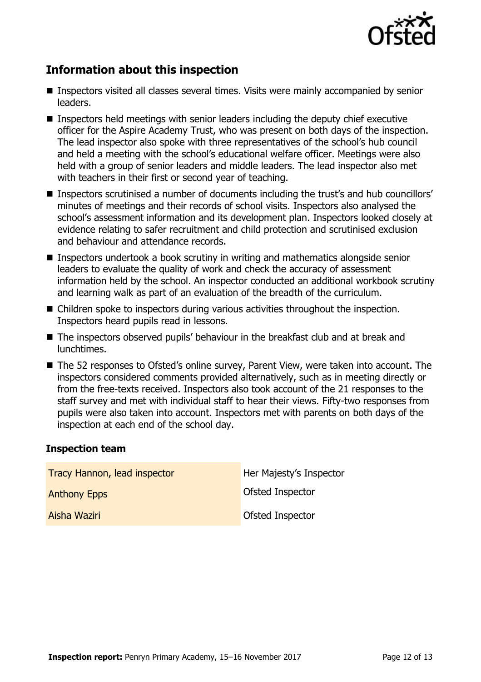

## **Information about this inspection**

- Inspectors visited all classes several times. Visits were mainly accompanied by senior leaders.
- Inspectors held meetings with senior leaders including the deputy chief executive officer for the Aspire Academy Trust, who was present on both days of the inspection. The lead inspector also spoke with three representatives of the school's hub council and held a meeting with the school's educational welfare officer. Meetings were also held with a group of senior leaders and middle leaders. The lead inspector also met with teachers in their first or second year of teaching.
- Inspectors scrutinised a number of documents including the trust's and hub councillors' minutes of meetings and their records of school visits. Inspectors also analysed the school's assessment information and its development plan. Inspectors looked closely at evidence relating to safer recruitment and child protection and scrutinised exclusion and behaviour and attendance records.
- Inspectors undertook a book scrutiny in writing and mathematics alongside senior leaders to evaluate the quality of work and check the accuracy of assessment information held by the school. An inspector conducted an additional workbook scrutiny and learning walk as part of an evaluation of the breadth of the curriculum.
- Children spoke to inspectors during various activities throughout the inspection. Inspectors heard pupils read in lessons.
- The inspectors observed pupils' behaviour in the breakfast club and at break and lunchtimes.
- The 52 responses to Ofsted's online survey, Parent View, were taken into account. The inspectors considered comments provided alternatively, such as in meeting directly or from the free-texts received. Inspectors also took account of the 21 responses to the staff survey and met with individual staff to hear their views. Fifty-two responses from pupils were also taken into account. Inspectors met with parents on both days of the inspection at each end of the school day.

#### **Inspection team**

| Tracy Hannon, lead inspector | Her Majesty's Inspector |
|------------------------------|-------------------------|
| <b>Anthony Epps</b>          | Ofsted Inspector        |
| Aisha Waziri                 | Ofsted Inspector        |